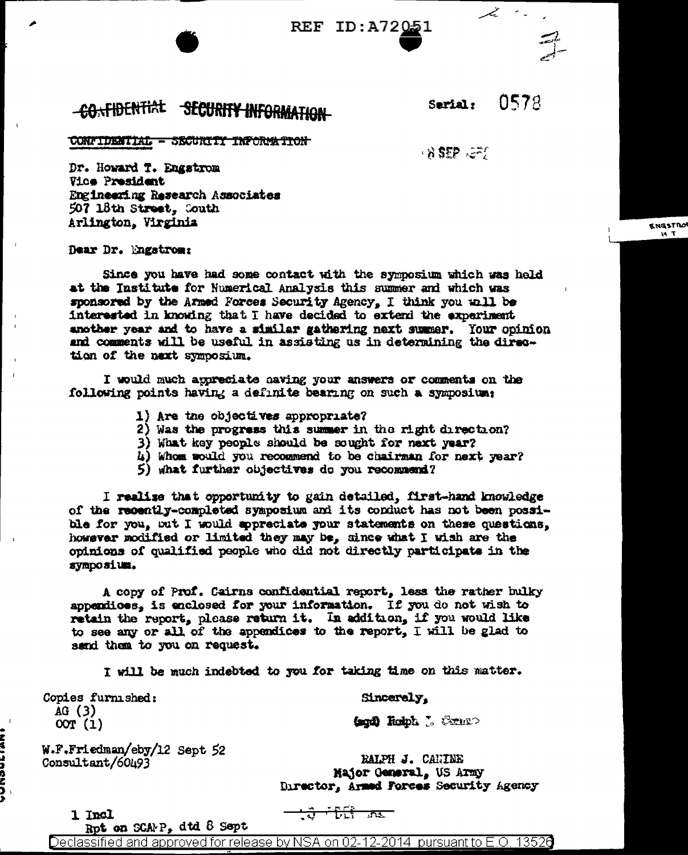**REF ID: A72051** 

## -CONFIDENTIAL SECURITY INFORMATION

0578 Sarial:

> **KNGSTRO**  $H$   $T$

CONFIDENTIAL - SECURITY INFORMATION

 $\mathcal{L}$  is the  $\mathcal{L}$  in  $\mathcal{L}$ 

Dr. Howard T. Engstrom Vice President Engineering Research Associates 507 18th Street, Couth Arlington, Virginia

## Dear Dr. Engstrom:

Since you have had some contact with the symposium which was held at the Institute for Numerical Analysis this summer and which was sponsored by the Armed Forces Security Agency, I think you will be interested in knowing that I have decided to extend the experiment another year and to have a similar gathering next summer. Your opinion and comments will be useful in assisting us in determining the direction of the next symposium.

I would much appreciate paving your answers or comments on the following points having a definite bearing on such a symposium.

- 1) Are the objectives appropriate?
- 2) Was the progress this summer in the right direction?
- 3) What key people should be sought for next year?
- 4) Whom would you recommend to be chairman for next year?
- 5) what further objectives do you recommend?

I realise that opportunity to gain detailed, first-hand knowledge of the recently-completed symposium and its conduct has not been possible for you, out I would sopreciate your statements on these questions. however modified or limited they may be, since what I wish are the opinions of qualified people who did not directly participate in the symposium.

A copy of Prof. Cairns confidential report, less the rather bulky appendices, is enclosed for your information. If you do not wish to retain the report, please return it. In addition, if you would like to see any or all of the appendices to the report, I will be glad to send them to you on request.

I will be much indebted to you for taking time on this matter.

Copies furnished:  $AG(3)$  $00T(1)$ 

Sincerely,

(agd) Rolph J. Cenno

W.F.Friedman/eby/12 Sept 52 Consultant/60493

RALPH J. CANINE Major General, US Army Director, Armed Forces Security Agency

1 Incl

ともっさつりと

<u>ਮਿੱਤੀ ਜਾਣਾ</u>

Rpt on SCAMP, dtd 8 Sept

Declassified and approved for release by NSA on 02-12-2014  $\,$  pursuant to E.O. 1352 $0$